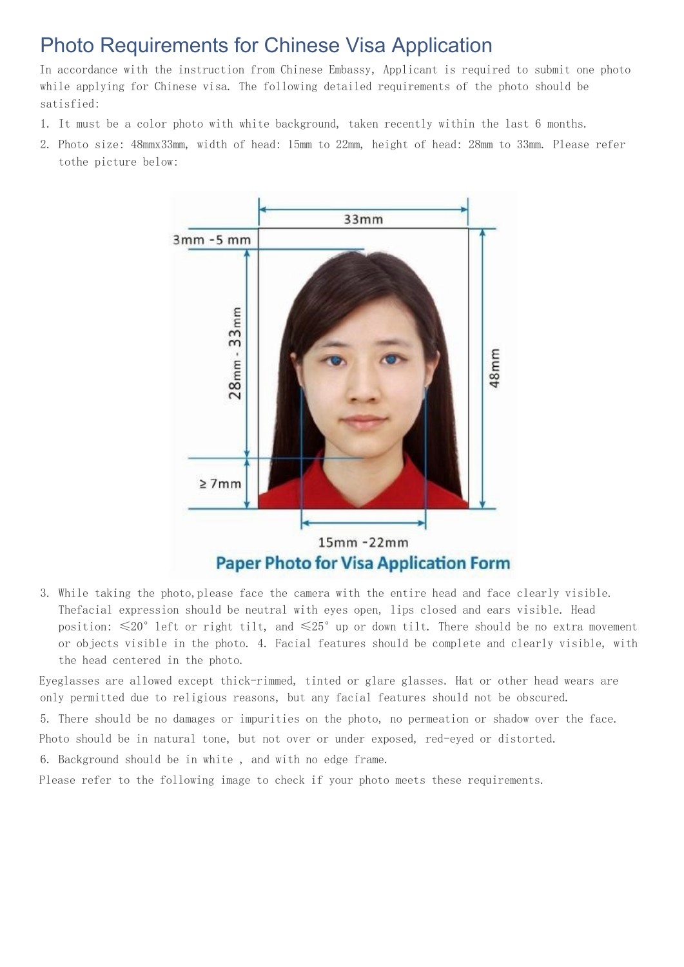## Photo Requirements for Chinese Visa Application

In accordance with the instruction from Chinese Embassy, Applicant is required to submit one photo while applying for Chinese visa. The following detailed requirements of the photo should be satisfied:

- 1. It must be a color photo with white background, taken recently within the last 6 months.
- 2. Photo size: 48mmx33mm, width of head: 15mm to 22mm, height of head: 28mm to 33mm. Please refer tothe picture below:



3. While taking the photo,please face the camera with the entire head and face clearly visible. Thefacial expression should be neutral with eyes open, lips closed and ears visible. Head position:  $\leq 20^{\circ}$  left or right tilt, and  $\leq 25^{\circ}$  up or down tilt. There should be no extra movement or objects visible in the photo. 4. Facial features should be complete and clearly visible, with the head centered in the photo.

Eyeglasses are allowed except thick-rimmed, tinted or glare glasses. Hat or other head wears are only permitted due to religious reasons, but any facial features should not be obscured.

5. There should be no damages or impurities on the photo, no permeation or shadow over the face. Photo should be in natural tone, but not over or under exposed, red-eyed or distorted.

6. Background should be in white , and with no edge frame.

Please refer to the following image to check if your photo meets these requirements.